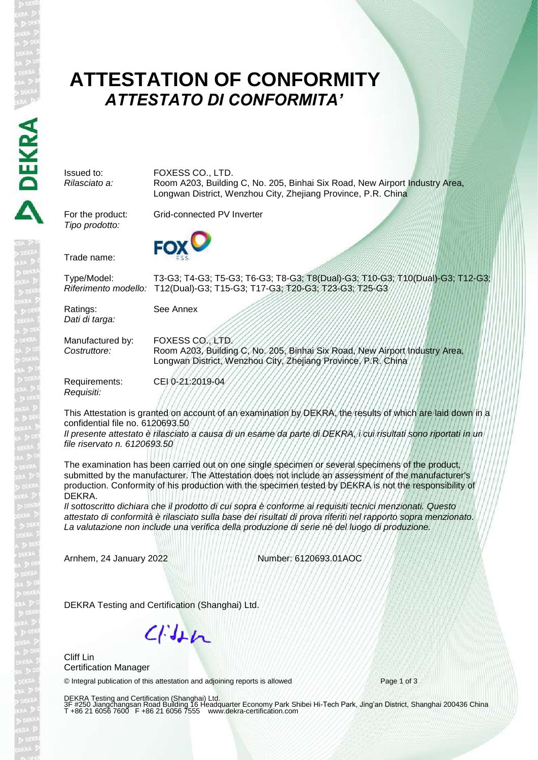# **ATTESTATION OF CONFORMITY** *ATTESTATO DI CONFORMITA'*

Issued to: FOXESS CO., LTD.<br>
Rilasciato a: Room A203, Building *Rilasciato a:* Room A203, Building C, No. 205, Binhai Six Road, New Airport Industry Area, Longwan District, Wenzhou City, Zhejiang Province, P.R. China

*Tipo prodotto:*

For the product: Grid-connected PV Inverter



Trade name:

Type/Model: T3-G3; T4-G3; T5-G3; T6-G3; T8-G3; T8(Dual)-G3; T10-G3; T10(Dual)-G3; T12-G3; *Riferimento modello:* T12(Dual)-G3; T15-G3; T17-G3; T20-G3; T23-G3; T25-G3

Ratings: See Annex *Dati di targa:*

Manufactured by: FOXESS CO., LTD. *Costruttore:* Room A203, Building C, No. 205, Binhai Six Road, New Airport Industry Area, Longwan District, Wenzhou City, Zhejiang Province, P.R. China

Requirements: CEI 0-21:2019-04 *Requisiti:*

This Attestation is granted on account of an examination by DEKRA, the results of which are laid down in a confidential file no. 6120693.50

*Il presente attestato è rilasciato a causa di un esame da parte di DEKRA, i cui risultati sono riportati in un file riservato n. 6120693.50*

The examination has been carried out on one single specimen or several specimens of the product, submitted by the manufacturer. The Attestation does not include an assessment of the manufacturer's production. Conformity of his production with the specimen tested by DEKRA is not the responsibility of DEKRA.

*Il sottoscritto dichiara che il prodotto di cui sopra è conforme ai requisiti tecnici menzionati. Questo attestato di conformità è rilasciato sulla base dei risultati di prova riferiti nel rapporto sopra menzionato. La valutazione non include una verifica della produzione di serie né del luogo di produzione.*

Arnhem, 24 January 2022 Number: 6120693.01AOC

DEKRA Testing and Certification (Shanghai) Ltd.

 $C/H+n$ 

Cliff Lin Certification Manager

© Integral publication of this attestation and adjoining reports is allowed Page 1 of 3

DEKRA Testing and Certification (Shanghai) Ltd.<br>3F #250 Jiangchangsan Road Building 16 Headquarter Economy Park Shibei Hi-Tech Park, Jing'an District, Shanghai 200436 China<br>T +86 21 6056 7600 F +86 21 6056 7555 www.de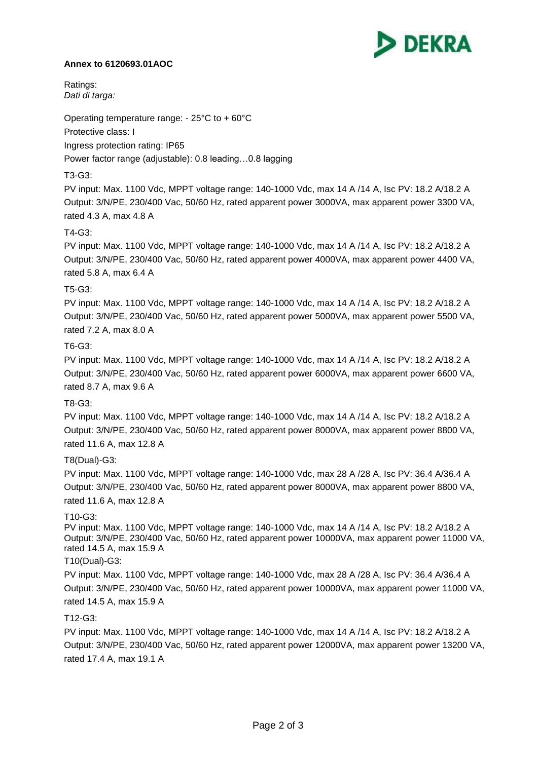

#### **Annex to 6120693.01AOC**

Ratings: *Dati di targa:*

Operating temperature range: - 25°C to + 60°C

Protective class: I

Ingress protection rating: IP65

Power factor range (adjustable): 0.8 leading…0.8 lagging

# T3-G3:

PV input: Max. 1100 Vdc, MPPT voltage range: 140-1000 Vdc, max 14 A /14 A, Isc PV: 18.2 A/18.2 A Output: 3/N/PE, 230/400 Vac, 50/60 Hz, rated apparent power 3000VA, max apparent power 3300 VA, rated 4.3 A, max 4.8 A

# T4-G3:

PV input: Max. 1100 Vdc, MPPT voltage range: 140-1000 Vdc, max 14 A /14 A, Isc PV: 18.2 A/18.2 A Output: 3/N/PE, 230/400 Vac, 50/60 Hz, rated apparent power 4000VA, max apparent power 4400 VA, rated 5.8 A, max 6.4 A

## T5-G3:

PV input: Max. 1100 Vdc, MPPT voltage range: 140-1000 Vdc, max 14 A /14 A, Isc PV: 18.2 A/18.2 A Output: 3/N/PE, 230/400 Vac, 50/60 Hz, rated apparent power 5000VA, max apparent power 5500 VA, rated 7.2 A, max 8.0 A

## T6-G3:

PV input: Max. 1100 Vdc, MPPT voltage range: 140-1000 Vdc, max 14 A /14 A, Isc PV: 18.2 A/18.2 A Output: 3/N/PE, 230/400 Vac, 50/60 Hz, rated apparent power 6000VA, max apparent power 6600 VA, rated 8.7 A, max 9.6 A

## T8-G3:

PV input: Max. 1100 Vdc, MPPT voltage range: 140-1000 Vdc, max 14 A /14 A, Isc PV: 18.2 A/18.2 A Output: 3/N/PE, 230/400 Vac, 50/60 Hz, rated apparent power 8000VA, max apparent power 8800 VA, rated 11.6 A, max 12.8 A

## T8(Dual)-G3:

PV input: Max. 1100 Vdc, MPPT voltage range: 140-1000 Vdc, max 28 A /28 A, Isc PV: 36.4 A/36.4 A Output: 3/N/PE, 230/400 Vac, 50/60 Hz, rated apparent power 8000VA, max apparent power 8800 VA, rated 11.6 A, max 12.8 A

## T10-G3:

PV input: Max. 1100 Vdc, MPPT voltage range: 140-1000 Vdc, max 14 A /14 A, Isc PV: 18.2 A/18.2 A Output: 3/N/PE, 230/400 Vac, 50/60 Hz, rated apparent power 10000VA, max apparent power 11000 VA, rated 14.5 A, max 15.9 A

## T10(Dual)-G3:

PV input: Max. 1100 Vdc, MPPT voltage range: 140-1000 Vdc, max 28 A /28 A, Isc PV: 36.4 A/36.4 A Output: 3/N/PE, 230/400 Vac, 50/60 Hz, rated apparent power 10000VA, max apparent power 11000 VA, rated 14.5 A, max 15.9 A

## T12-G3:

PV input: Max. 1100 Vdc, MPPT voltage range: 140-1000 Vdc, max 14 A /14 A, Isc PV: 18.2 A/18.2 A Output: 3/N/PE, 230/400 Vac, 50/60 Hz, rated apparent power 12000VA, max apparent power 13200 VA, rated 17.4 A, max 19.1 A